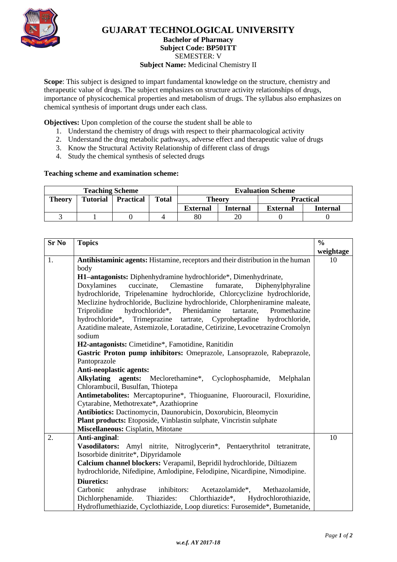

## **GUJARAT TECHNOLOGICAL UNIVERSITY**

#### **Bachelor of Pharmacy Subject Code: BP501TT**

SEMESTER: V

#### **Subject Name:** Medicinal Chemistry II

**Scope**: This subject is designed to impart fundamental knowledge on the structure, chemistry and therapeutic value of drugs. The subject emphasizes on structure activity relationships of drugs, importance of physicochemical properties and metabolism of drugs. The syllabus also emphasizes on chemical synthesis of important drugs under each class.

**Objectives:** Upon completion of the course the student shall be able to

- 1. Understand the chemistry of drugs with respect to their pharmacological activity
- 2. Understand the drug metabolic pathways, adverse effect and therapeutic value of drugs
- 3. Know the Structural Activity Relationship of different class of drugs
- 4. Study the chemical synthesis of selected drugs

#### **Teaching scheme and examination scheme:**

| <b>Teaching Scheme</b> |                 |                  |              | <b>Evaluation Scheme</b> |                 |                  |          |
|------------------------|-----------------|------------------|--------------|--------------------------|-----------------|------------------|----------|
| <b>Theory</b>          | <b>Tutorial</b> | <b>Practical</b> | <b>Total</b> | <b>Theory</b>            |                 | <b>Practical</b> |          |
|                        |                 |                  |              | <b>External</b>          | <b>Internal</b> | <b>External</b>  | Internal |
|                        |                 |                  |              | $80\,$                   | 20              |                  |          |

| <b>Sr No</b> | <b>Topics</b>                                                                   | $\frac{0}{0}$ |  |  |  |
|--------------|---------------------------------------------------------------------------------|---------------|--|--|--|
|              |                                                                                 | weightage     |  |  |  |
| 1.           | Antihistaminic agents: Histamine, receptors and their distribution in the human | 10            |  |  |  |
|              | body                                                                            |               |  |  |  |
|              | H1-antagonists: Diphenhydramine hydrochloride*, Dimenhydrinate,                 |               |  |  |  |
|              | Doxylamines<br>cuccinate, Clemastine fumarate,<br>Diphenylphyraline             |               |  |  |  |
|              | hydrochloride, Tripelenamine hydrochloride, Chlorcyclizine hydrochloride,       |               |  |  |  |
|              | Meclizine hydrochloride, Buclizine hydrochloride, Chlorpheniramine maleate,     |               |  |  |  |
|              | hydrochloride*, Phenidamine<br>Triprolidine<br>tartarate,<br>Promethazine       |               |  |  |  |
|              | hydrochloride*,<br>Trimeprazine tartrate, Cyproheptadine<br>hydrochloride,      |               |  |  |  |
|              | Azatidine maleate, Astemizole, Loratadine, Cetirizine, Levocetrazine Cromolyn   |               |  |  |  |
|              | sodium                                                                          |               |  |  |  |
|              | H2-antagonists: Cimetidine*, Famotidine, Ranitidin                              |               |  |  |  |
|              | Gastric Proton pump inhibitors: Omeprazole, Lansoprazole, Rabeprazole,          |               |  |  |  |
|              | Pantoprazole                                                                    |               |  |  |  |
|              | Anti-neoplastic agents:                                                         |               |  |  |  |
|              | Alkylating agents: Meclorethamine*, Cyclophosphamide, Melphalan                 |               |  |  |  |
|              | Chlorambucil, Busulfan, Thiotepa                                                |               |  |  |  |
|              | Antimetabolites: Mercaptopurine*, Thioguanine, Fluorouracil, Floxuridine,       |               |  |  |  |
|              | Cytarabine, Methotrexate*, Azathioprine                                         |               |  |  |  |
|              | Antibiotics: Dactinomycin, Daunorubicin, Doxorubicin, Bleomycin                 |               |  |  |  |
|              | Plant products: Etoposide, Vinblastin sulphate, Vincristin sulphate             |               |  |  |  |
|              | Miscellaneous: Cisplatin, Mitotane                                              |               |  |  |  |
| 2.           | Anti-anginal:                                                                   | 10            |  |  |  |
|              | Vasodilators: Amyl nitrite, Nitroglycerin*, Pentaerythritol tetranitrate,       |               |  |  |  |
|              | Isosorbide dinitrite*, Dipyridamole                                             |               |  |  |  |
|              | Calcium channel blockers: Verapamil, Bepridil hydrochloride, Diltiazem          |               |  |  |  |
|              | hydrochloride, Nifedipine, Amlodipine, Felodipine, Nicardipine, Nimodipine.     |               |  |  |  |
|              | <b>Diuretics:</b>                                                               |               |  |  |  |
|              | Carbonic<br>anhydrase inhibitors:<br>Acetazolamide*,<br>Methazolamide,          |               |  |  |  |
|              | Dichlorphenamide. Thiazides:<br>Chlorthiazide*, Hydrochlorothiazide,            |               |  |  |  |
|              | Hydroflumethiazide, Cyclothiazide, Loop diuretics: Furosemide*, Bumetanide,     |               |  |  |  |